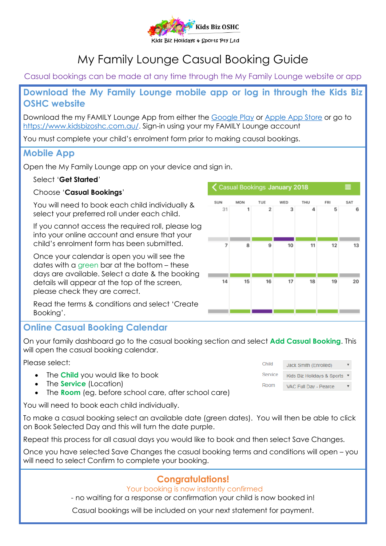

# My Family Lounge Casual Booking Guide

Casual bookings can be made at any time through the My Family Lounge website or app

#### **Download the My Family Lounge mobile app or log in through the Kids Biz OSHC website**

Download the my FAMILY Lounge App from either the [Google Play](https://play.google.com/store/apps/details?id=au.com.qkenhanced.myfamilylounge&hl=en) or [Apple App Store](https://itunes.apple.com/au/app/my-family-lounge/id933685806?mt=8) or go to [https://www.kidsbizoshc.com.au/.](https://www.kidsbizoshc.com.au/ht-enrolments) Sign-in using your my FAMILY Lounge account

You must complete your child's enrolment form prior to making causal bookings.

#### **Mobile App**

Open the My Family Lounge app on your device and sign in.

#### Select '**Get Started**'

#### Choose '**Casual Bookings**'

You will need to book each child individually & select your preferred roll under each child.

If you cannot access the required roll, please log into your online account and ensure that your child's enrolment form has been submitted.

Once your calendar is open you will see the dates with a green bar at the bottom – these days are available. Select a date & the booking details will appear at the top of the screen, please check they are correct.

Read the terms & conditions and select 'Create Booking'.

### **Online Casual Booking Calendar**

On your family dashboard go to the casual booking section and select **Add Casual Booking**. This will open the casual booking calendar.

Please select:

- The **Child** you would like to book
- The **Service** (Location)
- The **Room** (eg. before school care, after school care)

You will need to book each child individually.

To make a casual booking select an available date (green dates). You will then be able to click on Book Selected Day and this will turn the date purple.

Repeat this process for all casual days you would like to book and then select Save Changes.

Once you have selected Save Changes the casual booking terms and conditions will open – you will need to select Confirm to complete your booking.

### **Congratulations!**

Your booking is now instantly confirmed

- no waiting for a response or confirmation your child is now booked in!

Casual bookings will be included on your next statement for payment.

| Child   | Jack Smith (Enrolled)      |  |
|---------|----------------------------|--|
| Service | Kids Biz Holidays & Sports |  |
| Room    | VAC Full Day - Pearce      |  |

く Casual Bookings January 2018

TUE

 $\overline{2}$ 

 $\mathbf{Q}$ 

 $16$ 

WED

 $\overline{3}$ 

 $10$ 

17

 $\Lambda$ 

11

18

 $\overline{a}$ 

12

19

6

 $13$ 

 $20$ 

SUN

 $31$ 

 $\overline{z}$ 

 $14$ 

**MON** 

 $\overline{1}$ 

 $\mathbf{a}$ 

15